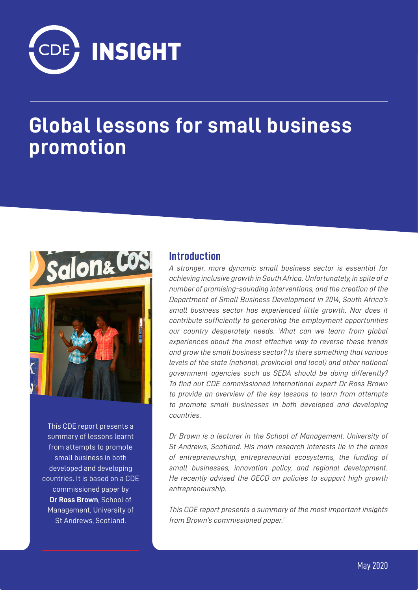

# **Global lessons for small business promotion**



This CDE report presents a summary of lessons learnt from attempts to promote small business in both developed and developing countries. It is based on a CDE commissioned paper by **Dr Ross Brown**, School of Management, University of St Andrews, Scotland.

#### **Introduction**

*A stronger, more dynamic small business sector is essential for achieving inclusive growth in South Africa. Unfortunately, in spite of a number of promising-sounding interventions, and the creation of the Department of Small Business Development in 2014, South Africa's small business sector has experienced little growth. Nor does it contribute sufficiently to generating the employment opportunities our country desperately needs. What can we learn from global experiences about the most effective way to reverse these trends and grow the small business sector? Is there something that various levels of the state (national, provincial and local) and other national government agencies such as SEDA should be doing differently? To find out CDE commissioned international expert Dr Ross Brown to provide an overview of the key lessons to learn from attempts to promote small businesses in both developed and developing countries.* 

*Dr Brown is a lecturer in the School of Management, University of St Andrews, Scotland. His main research interests lie in the areas of entrepreneurship, entrepreneurial ecosystems, the funding of small businesses, innovation policy, and regional development. He recently advised the OECD on policies to support high growth entrepreneurship.* 

*This CDE report presents a summary of the most important insights from Brown's commissioned paper.1*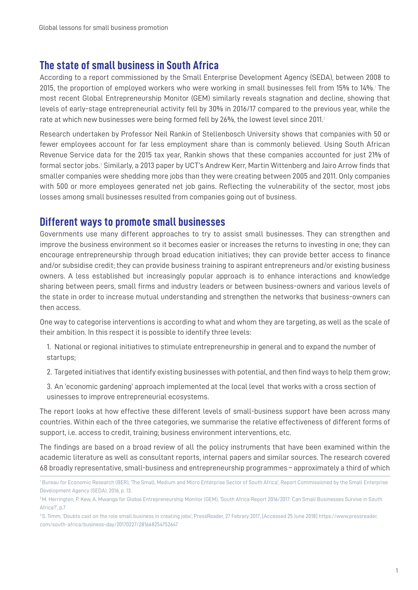# **The state of small business in South Africa**

According to a report commissioned by the Small Enterprise Development Agency (SEDA), between 2008 to 2015, the proportion of employed workers who were working in small businesses fell from 15% to 14%.1 The most recent Global Entrepreneurship Monitor (GEM) similarly reveals stagnation and decline, showing that levels of early-stage entrepreneurial activity fell by 30% in 2016/17 compared to the previous year, while the rate at which new businesses were being formed fell by 26%, the lowest level since 2011.<sup>2</sup>

Research undertaken by Professor Neil Rankin of Stellenbosch University shows that companies with 50 or fewer employees account for far less employment share than is commonly believed. Using South African Revenue Service data for the 2015 tax year, Rankin shows that these companies accounted for just 21% of formal sector jobs.<sup>3</sup> Similarly, a 2013 paper by UCT's Andrew Kerr, Martin Wittenberg and Jairo Arrow finds that smaller companies were shedding more jobs than they were creating between 2005 and 2011. Only companies with 500 or more employees generated net job gains. Reflecting the vulnerability of the sector, most jobs losses among small businesses resulted from companies going out of business.

## **Different ways to promote small businesses**

Governments use many different approaches to try to assist small businesses. They can strengthen and improve the business environment so it becomes easier or increases the returns to investing in one; they can encourage entrepreneurship through broad education initiatives; they can provide better access to finance and/or subsidise credit; they can provide business training to aspirant entrepreneurs and/or existing business owners. A less established but increasingly popular approach is to enhance interactions and knowledge sharing between peers, small firms and industry leaders or between business-owners and various levels of the state in order to increase mutual understanding and strengthen the networks that business-owners can then access.

One way to categorise interventions is according to what and whom they are targeting, as well as the scale of their ambition. In this respect it is possible to identify three levels:

- 1. National or regional initiatives to stimulate entrepreneurship in general and to expand the number of startups;
- 2. Targeted initiatives that identify existing businesses with potential, and then find ways to help them grow;
- 3. An 'economic gardening' approach implemented at the local level that works with a cross section of usinesses to improve entrepreneurial ecosystems.

The report looks at how effective these different levels of small-business support have been across many countries. Within each of the three categories, we summarise the relative effectiveness of different forms of support, i.e. access to credit, training; business environment interventions, etc.

The findings are based on a broad review of all the policy instruments that have been examined within the academic literature as well as consultant reports, internal papers and similar sources. The research covered 68 broadly representative, small-business and entrepreneurship programmes – approximately a third of which

<sup>1</sup> Bureau for Economic Research (BER), 'The Small, Medium and Micro Enterprise Sector of South Africa', Report Commissioned by the Small Enterprise Development Agency (SEDA), 2016, p. 13.

<sup>&</sup>lt;sup>2</sup> M. Herrington, P. Kew, A. Mwanga for Global Entrepreneurship Monitor (GEM), 'South Africa Report 2016/2017: Can Small Businesses Survive in South Africa?', p.7

<sup>3</sup> S. Timm, 'Doubts cast on the role small business in creating jobs', PressReader, 27 Febrary 2017, [Accessed 25 June 2018] https://www.pressreader. com/south-africa/business-day/20170227/281668254752647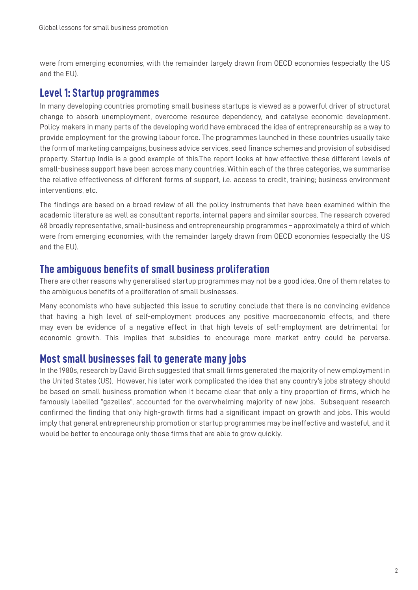were from emerging economies, with the remainder largely drawn from OECD economies (especially the US and the EU).

# **Level 1: Startup programmes**

In many developing countries promoting small business startups is viewed as a powerful driver of structural change to absorb unemployment, overcome resource dependency, and catalyse economic development. Policy makers in many parts of the developing world have embraced the idea of entrepreneurship as a way to provide employment for the growing labour force. The programmes launched in these countries usually take the form of marketing campaigns, business advice services, seed finance schemes and provision of subsidised property. Startup India is a good example of this.The report looks at how effective these different levels of small-business support have been across many countries. Within each of the three categories, we summarise the relative effectiveness of different forms of support, i.e. access to credit, training; business environment interventions, etc.

The findings are based on a broad review of all the policy instruments that have been examined within the academic literature as well as consultant reports, internal papers and similar sources. The research covered 68 broadly representative, small-business and entrepreneurship programmes – approximately a third of which were from emerging economies, with the remainder largely drawn from OECD economies (especially the US and the EU).

# **The ambiguous benefits of small business proliferation**

There are other reasons why generalised startup programmes may not be a good idea. One of them relates to the ambiguous benefits of a proliferation of small businesses.

Many economists who have subjected this issue to scrutiny conclude that there is no convincing evidence that having a high level of self-employment produces any positive macroeconomic effects, and there may even be evidence of a negative effect in that high levels of self-employment are detrimental for economic growth. This implies that subsidies to encourage more market entry could be perverse.

## **Most small businesses fail to generate many jobs**

In the 1980s, research by David Birch suggested that small firms generated the majority of new employment in the United States (US). However, his later work complicated the idea that any country's jobs strategy should be based on small business promotion when it became clear that only a tiny proportion of firms, which he famously labelled "gazelles", accounted for the overwhelming majority of new jobs. Subsequent research confirmed the finding that only high-growth firms had a significant impact on growth and jobs. This would imply that general entrepreneurship promotion or startup programmes may be ineffective and wasteful, and it would be better to encourage only those firms that are able to grow quickly.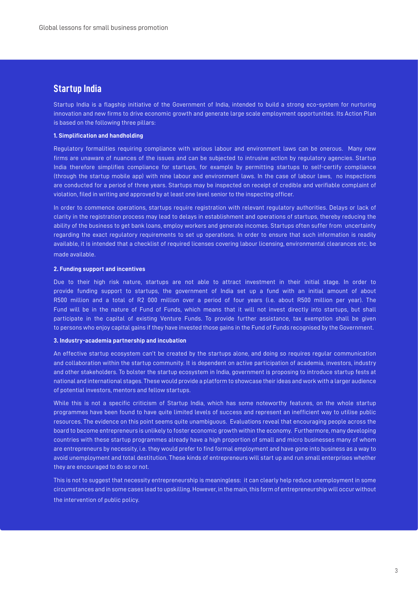#### **Startup India**

Startup India is a flagship initiative of the Government of India, intended to build a strong eco-system for nurturing innovation and new firms to drive economic growth and generate large scale employment opportunities. Its Action Plan is based on the following three pillars:

#### **1. Simplification and handholding**

Regulatory formalities requiring compliance with various labour and environment laws can be onerous. Many new firms are unaware of nuances of the issues and can be subjected to intrusive action by regulatory agencies. Startup India therefore simplifies compliance for startups, for example by permitting startups to self-certify compliance (through the startup mobile app) with nine labour and environment laws. In the case of labour laws, no inspections are conducted for a period of three years. Startups may be inspected on receipt of credible and verifiable complaint of violation, filed in writing and approved by at least one level senior to the inspecting officer.

In order to commence operations, startups require registration with relevant regulatory authorities. Delays or lack of clarity in the registration process may lead to delays in establishment and operations of startups, thereby reducing the ability of the business to get bank loans, employ workers and generate incomes. Startups often suffer from uncertainty regarding the exact regulatory requirements to set up operations. In order to ensure that such information is readily available, it is intended that a checklist of required licenses covering labour licensing, environmental clearances etc. be made available.

#### **2. Funding support and incentives**

Due to their high risk nature, startups are not able to attract investment in their initial stage. In order to provide funding support to startups, the government of India set up a fund with an initial amount of about R500 million and a total of R2 000 million over a period of four years (i.e. about R500 million per year). The Fund will be in the nature of Fund of Funds, which means that it will not invest directly into startups, but shall participate in the capital of existing Venture Funds. To provide further assistance, tax exemption shall be given to persons who enjoy capital gains if they have invested those gains in the Fund of Funds recognised by the Government.

#### **3. Industry-academia partnership and incubation**

An effective startup ecosystem can't be created by the startups alone, and doing so requires regular communication and collaboration within the startup community. It is dependent on active participation of academia, investors, industry and other stakeholders. To bolster the startup ecosystem in India, government is proposing to introduce startup fests at national and international stages. These would provide a platform to showcase their ideas and work with a larger audience of potential investors, mentors and fellow startups.

While this is not a specific criticism of Startup India, which has some noteworthy features, on the whole startup programmes have been found to have quite limited levels of success and represent an inefficient way to utilise public resources. The evidence on this point seems quite unambiguous. Evaluations reveal that encouraging people across the board to become entrepreneurs is unlikely to foster economic growth within the economy. Furthermore, many developing countries with these startup programmes already have a high proportion of small and micro businesses many of whom are entrepreneurs by necessity, i.e. they would prefer to find formal employment and have gone into business as a way to avoid unemployment and total destitution. These kinds of entrepreneurs will start up and run small enterprises whether they are encouraged to do so or not.

This is not to suggest that necessity entrepreneurship is meaningless: it can clearly help reduce unemployment in some circumstances and in some cases lead to upskilling. However, in the main, this form of entrepreneurship will occur without the intervention of public policy.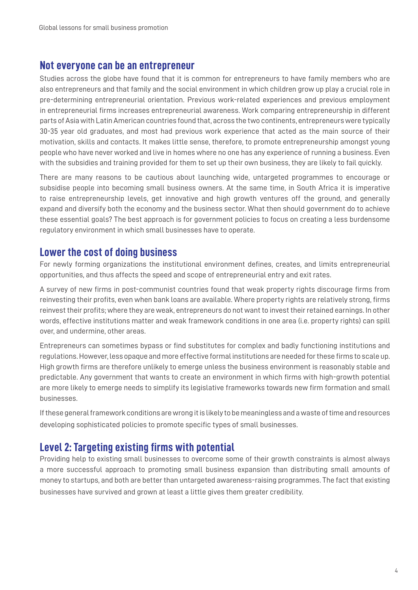#### **Not everyone can be an entrepreneur**

Studies across the globe have found that it is common for entrepreneurs to have family members who are also entrepreneurs and that family and the social environment in which children grow up play a crucial role in pre-determining entrepreneurial orientation. Previous work-related experiences and previous employment in entrepreneurial firms increases entrepreneurial awareness. Work comparing entrepreneurship in different parts of Asia with Latin American countries found that, across the two continents, entrepreneurs were typically 30-35 year old graduates, and most had previous work experience that acted as the main source of their motivation, skills and contacts. It makes little sense, therefore, to promote entrepreneurship amongst young people who have never worked and live in homes where no one has any experience of running a business. Even with the subsidies and training provided for them to set up their own business, they are likely to fail quickly.

There are many reasons to be cautious about launching wide, untargeted programmes to encourage or subsidise people into becoming small business owners. At the same time, in South Africa it is imperative to raise entrepreneurship levels, get innovative and high growth ventures off the ground, and generally expand and diversify both the economy and the business sector. What then should government do to achieve these essential goals? The best approach is for government policies to focus on creating a less burdensome regulatory environment in which small businesses have to operate.

## **Lower the cost of doing business**

For newly forming organizations the institutional environment defines, creates, and limits entrepreneurial opportunities, and thus affects the speed and scope of entrepreneurial entry and exit rates.

A survey of new firms in post-communist countries found that weak property rights discourage firms from reinvesting their profits, even when bank loans are available. Where property rights are relatively strong, firms reinvest their profits; where they are weak, entrepreneurs do not want to invest their retained earnings. In other words, effective institutions matter and weak framework conditions in one area (i.e. property rights) can spill over, and undermine, other areas.

Entrepreneurs can sometimes bypass or find substitutes for complex and badly functioning institutions and regulations. However, less opaque and more effective formal institutions are needed for these firms to scale up. High growth firms are therefore unlikely to emerge unless the business environment is reasonably stable and predictable. Any government that wants to create an environment in which firms with high-growth potential are more likely to emerge needs to simplify its legislative frameworks towards new firm formation and small businesses.

If these general framework conditions are wrong it is likely to be meaningless and a waste of time and resources developing sophisticated policies to promote specific types of small businesses.

# **Level 2: Targeting existing firms with potential**

Providing help to existing small businesses to overcome some of their growth constraints is almost always a more successful approach to promoting small business expansion than distributing small amounts of money to startups, and both are better than untargeted awareness-raising programmes. The fact that existing businesses have survived and grown at least a little gives them greater credibility.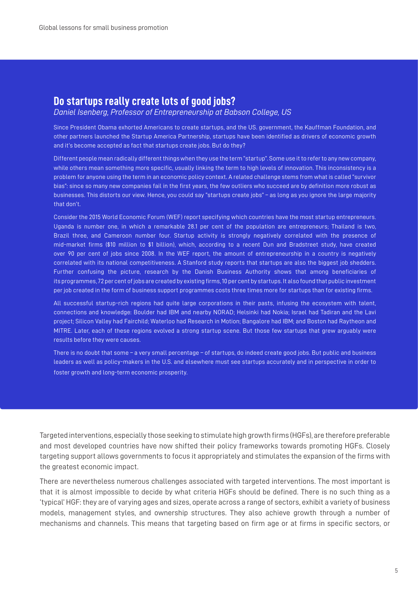## **Do startups really create lots of good jobs?**

*Daniel Isenberg, Professor of Entrepreneurship at Babson College, US*

Since President Obama exhorted Americans to create startups, and the US. government, the Kauffman Foundation, and other partners launched the Startup America Partnership, startups have been identified as drivers of economic growth and it's become accepted as fact that startups create jobs. But do they?

Different people mean radically different things when they use the term "startup". Some use it to refer to any new company, while others mean something more specific, usually linking the term to high levels of innovation. This inconsistency is a problem for anyone using the term in an economic policy context. A related challenge stems from what is called "survivor bias": since so many new companies fail in the first years, the few outliers who succeed are by definition more robust as businesses. This distorts our view. Hence, you could say "startups create jobs" – as long as you ignore the large majority that don't.

Consider the 2015 World Economic Forum (WEF) report specifying which countries have the most startup entrepreneurs. Uganda is number one, in which a remarkable 28.1 per cent of the population are entrepreneurs; Thailand is two, Brazil three, and Cameroon number four. Startup activity is strongly negatively correlated with the presence of mid-market firms (\$10 million to \$1 billion), which, according to a recent Dun and Bradstreet study, have created over 90 per cent of jobs since 2008. In the WEF report, the amount of entrepreneurship in a country is negatively correlated with its national competitiveness. A Stanford study reports that startups are also the biggest job shedders. Further confusing the picture, research by the Danish Business Authority shows that among beneficiaries of its programmes, 72 per cent of jobs are created by existing firms, 10 per cent by startups. It also found that public investment per job created in the form of business support programmes costs three times more for startups than for existing firms.

All successful startup-rich regions had quite large corporations in their pasts, infusing the ecosystem with talent, connections and knowledge: Boulder had IBM and nearby NORAD; Helsinki had Nokia; Israel had Tadiran and the Lavi project; Silicon Valley had Fairchild; Waterloo had Research in Motion; Bangalore had IBM; and Boston had Raytheon and MITRE. Later, each of these regions evolved a strong startup scene. But those few startups that grew arguably were results before they were causes.

There is no doubt that some – a very small percentage – of startups, do indeed create good jobs. But public and business leaders as well as policy-makers in the U.S. and elsewhere must see startups accurately and in perspective in order to foster growth and long-term economic prosperity.

Targeted interventions, especially those seeking to stimulate high growth firms (HGFs), are therefore preferable and most developed countries have now shifted their policy frameworks towards promoting HGFs. Closely targeting support allows governments to focus it appropriately and stimulates the expansion of the firms with the greatest economic impact.

There are nevertheless numerous challenges associated with targeted interventions. The most important is that it is almost impossible to decide by what criteria HGFs should be defined. There is no such thing as a 'typical' HGF: they are of varying ages and sizes, operate across a range of sectors, exhibit a variety of business models, management styles, and ownership structures. They also achieve growth through a number of mechanisms and channels. This means that targeting based on firm age or at firms in specific sectors, or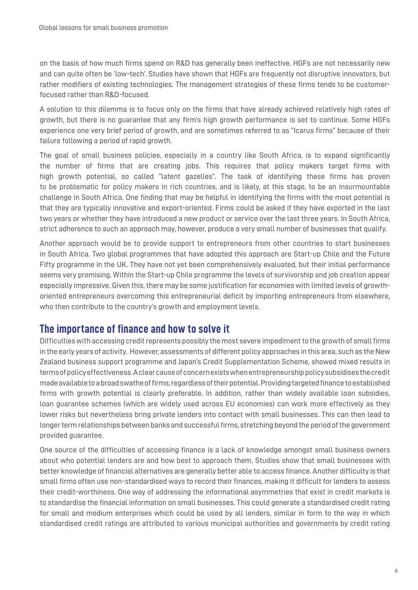on the basis of how much firms spend on R&D has generally been ineffective. HGFs are not necessarily new and can quite often be 'low-tech'. Studies have shown that HGFs are frequently not disruptive innovators, but rather modifiers of existing technologies. The management strategies of these firms tends to be customerfocused rather than R&D-focused.

A solution to this dilemma is to focus only on the firms that have already achieved relatively high rates of growth, but there is no guarantee that any firm's high growth performance is set to continue. Some HGFs experience one very brief period of growth, and are sometimes referred to as "Icarus firms" because of their failure following a period of rapid growth.

The goal of small business policies, especially in a country like South Africa, is to expand significantly the number of firms that are creating jobs. This requires that policy makers target firms with high growth potential, so called "latent gazelles". The task of identifying these firms has proven to be problematic for policy makers in rich countries, and is likely, at this stage, to be an insurmountable challenge in South Africa. One finding that may be helpful in identifying the firms with the most potential is that they are typically innovative and export-oriented. Firms could be asked if they have exported in the last two years or whether they have introduced a new product or service over the last three years. In South Africa, strict adherence to such an approach may, however, produce a very small number of businesses that qualify.

Another approach would be to provide support to entrepreneurs from other countries to start businesses in South Africa. Two global programmes that have adopted this approach are Start-up Chile and the Future Fifty programme in the UK. They have not yet been comprehensively evaluated, but their initial performance seems very promising. Within the Start-up Chile programme the levels of survivorship and job creation appear especially impressive. Given this, there may be some justification for economies with limited levels of growthoriented entrepreneurs overcoming this entrepreneurial deficit by importing entrepreneurs from elsewhere, who then contribute to the country's growth and employment levels.

# **The importance of finance and how to solve it**

Difficulties with accessing credit represents possibly the most severe impediment to the growth of small firms in the early years of activity. However, assessments of different policy approaches in this area, such as the New Zealand business support programme and Japan's Credit Supplementation Scheme, showed mixed results in terms of policy effectiveness. A clear cause of concern exists when entrepreneurship policy subsidises the credit made available to a broad swathe of firms, regardless of their potential. Providing targeted finance to established firms with growth potential is clearly preferable. In addition, rather than widely available loan subsidies, loan guarantee schemes (which are widely used across EU economies) can work more effectively as they lower risks but nevertheless bring private lenders into contact with small businesses. This can then lead to longer term relationships between banks and successful firms, stretching beyond the period of the government provided guarantee.

One source of the difficulties of accessing finance is a lack of knowledge amongst small business owners about who potential lenders are and how best to approach them. Studies show that small businesses with better knowledge of financial alternatives are generally better able to access finance. Another difficulty is that small firms often use non-standardised ways to record their finances, making it difficult for lenders to assess their credit-worthiness. One way of addressing the informational asymmetries that exist in credit markets is to standardise the financial information on small businesses. This could generate a standardised credit rating for small and medium enterprises which could be used by all lenders, similar in form to the way in which standardised credit ratings are attributed to various municipal authorities and governments by credit rating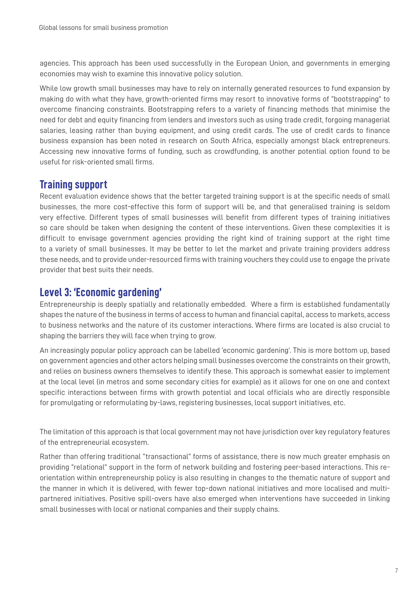agencies. This approach has been used successfully in the European Union, and governments in emerging economies may wish to examine this innovative policy solution.

While low growth small businesses may have to rely on internally generated resources to fund expansion by making do with what they have, growth-oriented firms may resort to innovative forms of "bootstrapping" to overcome financing constraints. Bootstrapping refers to a variety of financing methods that minimise the need for debt and equity financing from lenders and investors such as using trade credit, forgoing managerial salaries, leasing rather than buying equipment, and using credit cards. The use of credit cards to finance business expansion has been noted in research on South Africa, especially amongst black entrepreneurs. Accessing new innovative forms of funding, such as crowdfunding, is another potential option found to be useful for risk-oriented small firms.

# **Training support**

Recent evaluation evidence shows that the better targeted training support is at the specific needs of small businesses, the more cost-effective this form of support will be, and that generalised training is seldom very effective. Different types of small businesses will benefit from different types of training initiatives so care should be taken when designing the content of these interventions. Given these complexities it is difficult to envisage government agencies providing the right kind of training support at the right time to a variety of small businesses. It may be better to let the market and private training providers address these needs, and to provide under-resourced firms with training vouchers they could use to engage the private provider that best suits their needs.

# **Level 3: 'Economic gardening'**

Entrepreneurship is deeply spatially and relationally embedded. Where a firm is established fundamentally shapes the nature of the business in terms of access to human and financial capital, access to markets, access to business networks and the nature of its customer interactions. Where firms are located is also crucial to shaping the barriers they will face when trying to grow.

An increasingly popular policy approach can be labelled 'economic gardening'. This is more bottom up, based on government agencies and other actors helping small businesses overcome the constraints on their growth, and relies on business owners themselves to identify these. This approach is somewhat easier to implement at the local level (in metros and some secondary cities for example) as it allows for one on one and context specific interactions between firms with growth potential and local officials who are directly responsible for promulgating or reformulating by-laws, registering businesses, local support initiatives, etc.

The limitation of this approach is that local government may not have jurisdiction over key regulatory features of the entrepreneurial ecosystem.

Rather than offering traditional "transactional" forms of assistance, there is now much greater emphasis on providing "relational" support in the form of network building and fostering peer-based interactions. This reorientation within entrepreneurship policy is also resulting in changes to the thematic nature of support and the manner in which it is delivered, with fewer top-down national initiatives and more localised and multipartnered initiatives. Positive spill-overs have also emerged when interventions have succeeded in linking small businesses with local or national companies and their supply chains.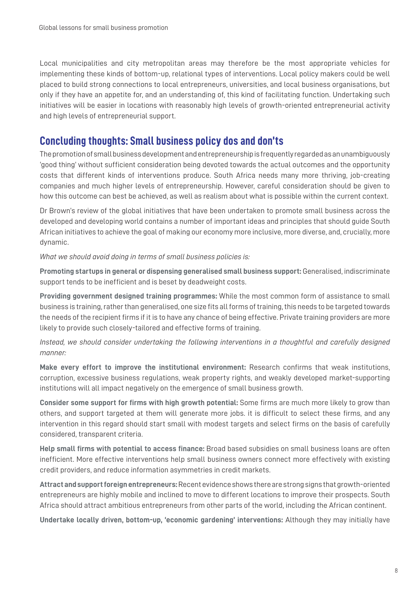Local municipalities and city metropolitan areas may therefore be the most appropriate vehicles for implementing these kinds of bottom-up, relational types of interventions. Local policy makers could be well placed to build strong connections to local entrepreneurs, universities, and local business organisations, but only if they have an appetite for, and an understanding of, this kind of facilitating function. Undertaking such initiatives will be easier in locations with reasonably high levels of growth-oriented entrepreneurial activity and high levels of entrepreneurial support.

# **Concluding thoughts: Small business policy dos and don'ts**

The promotion of small business development and entrepreneurship is frequently regarded as an unambiguously 'good thing' without sufficient consideration being devoted towards the actual outcomes and the opportunity costs that different kinds of interventions produce. South Africa needs many more thriving, job-creating companies and much higher levels of entrepreneurship. However, careful consideration should be given to how this outcome can best be achieved, as well as realism about what is possible within the current context.

Dr Brown's review of the global initiatives that have been undertaken to promote small business across the developed and developing world contains a number of important ideas and principles that should guide South African initiatives to achieve the goal of making our economy more inclusive, more diverse, and, crucially, more dynamic.

*What we should avoid doing in terms of small business policies is:*

**Promoting startups in general or dispensing generalised small business support:** Generalised, indiscriminate support tends to be inefficient and is beset by deadweight costs.

**Providing government designed training programmes:** While the most common form of assistance to small business is training, rather than generalised, one size fits all forms of training, this needs to be targeted towards the needs of the recipient firms if it is to have any chance of being effective. Private training providers are more likely to provide such closely-tailored and effective forms of training.

*Instead, we should consider undertaking the following interventions in a thoughtful and carefully designed manner:*

**Make every effort to improve the institutional environment:** Research confirms that weak institutions, corruption, excessive business regulations, weak property rights, and weakly developed market-supporting institutions will all impact negatively on the emergence of small business growth.

**Consider some support for firms with high growth potential:** Some firms are much more likely to grow than others, and support targeted at them will generate more jobs. it is difficult to select these firms, and any intervention in this regard should start small with modest targets and select firms on the basis of carefully considered, transparent criteria.

**Help small firms with potential to access finance:** Broad based subsidies on small business loans are often inefficient. More effective interventions help small business owners connect more effectively with existing credit providers, and reduce information asymmetries in credit markets.

**Attract and support foreign entrepreneurs:** Recent evidence shows there are strong signs that growth-oriented entrepreneurs are highly mobile and inclined to move to different locations to improve their prospects. South Africa should attract ambitious entrepreneurs from other parts of the world, including the African continent.

**Undertake locally driven, bottom-up, 'economic gardening' interventions:** Although they may initially have